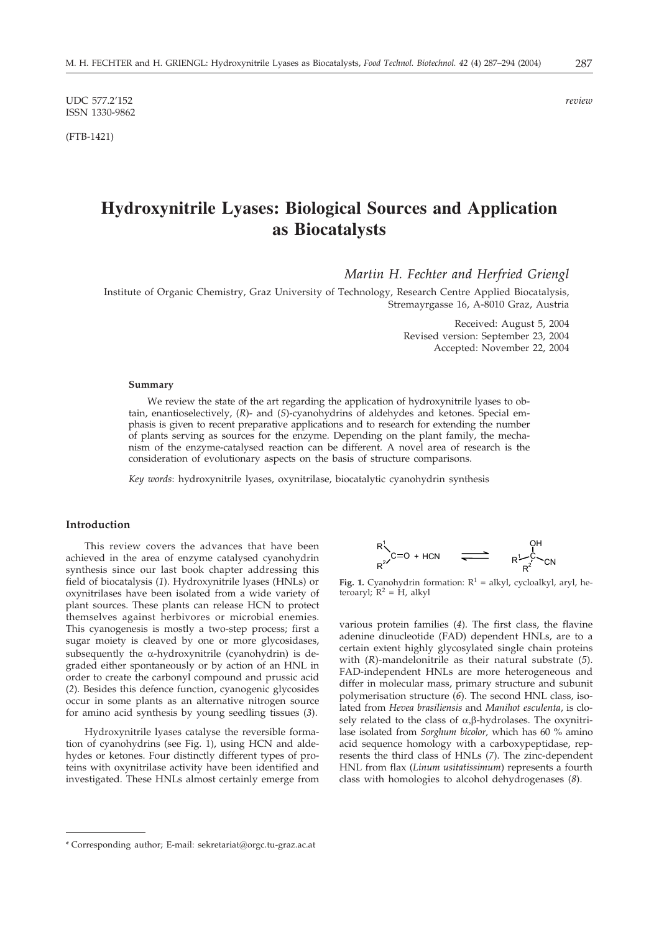UDC 577.2'152 *review* ISSN 1330-9862

(FTB-1421)

# **Hydroxynitrile Lyases: Biological Sources and Application as Biocatalysts**

*Martin H. Fechter and Herfried Griengl*

Institute of Organic Chemistry, Graz University of Technology, Research Centre Applied Biocatalysis, Stremayrgasse 16, A-8010 Graz, Austria

> Received: August 5, 2004 Revised version: September 23, 2004 Accepted: November 22, 2004

#### **Summary**

We review the state of the art regarding the application of hydroxynitrile lyases to obtain, enantioselectively, (*R*)- and (*S*)-cyanohydrins of aldehydes and ketones. Special emphasis is given to recent preparative applications and to research for extending the number of plants serving as sources for the enzyme. Depending on the plant family, the mechanism of the enzyme-catalysed reaction can be different. A novel area of research is the consideration of evolutionary aspects on the basis of structure comparisons.

*Key words*: hydroxynitrile lyases, oxynitrilase, biocatalytic cyanohydrin synthesis

## **Introduction**

This review covers the advances that have been achieved in the area of enzyme catalysed cyanohydrin synthesis since our last book chapter addressing this field of biocatalysis (*1*). Hydroxynitrile lyases (HNLs) or oxynitrilases have been isolated from a wide variety of plant sources. These plants can release HCN to protect themselves against herbivores or microbial enemies. This cyanogenesis is mostly a two-step process; first a sugar moiety is cleaved by one or more glycosidases, subsequently the  $\alpha$ -hydroxynitrile (cyanohydrin) is degraded either spontaneously or by action of an HNL in order to create the carbonyl compound and prussic acid (*2*). Besides this defence function, cyanogenic glycosides occur in some plants as an alternative nitrogen source for amino acid synthesis by young seedling tissues (*3*).

Hydroxynitrile lyases catalyse the reversible formation of cyanohydrins (see Fig. 1), using HCN and aldehydes or ketones. Four distinctly different types of proteins with oxynitrilase activity have been identified and investigated. These HNLs almost certainly emerge from



**Fig. 1.** Cyanohydrin formation:  $R^1$  = alkyl, cycloalkyl, aryl, heteroaryl;  $R^2 = H$ , alkyl

various protein families (*4*). The first class, the flavine adenine dinucleotide (FAD) dependent HNLs, are to a certain extent highly glycosylated single chain proteins with (*R*)-mandelonitrile as their natural substrate (*5*). FAD-independent HNLs are more heterogeneous and differ in molecular mass, primary structure and subunit polymerisation structure (*6*). The second HNL class, isolated from *Hevea brasiliensis* and *Manihot esculenta*, is closely related to the class of  $\alpha$ , $\beta$ -hydrolases. The oxynitrilase isolated from *Sorghum bicolor,* which has 60 % amino acid sequence homology with a carboxypeptidase, represents the third class of HNLs (*7*). The zinc-dependent HNL from flax (*Linum usitatissimum*) represents a fourth class with homologies to alcohol dehydrogenases (*8*).

<sup>\*</sup> Corresponding author; E-mail: sekretariat*@*orgc.tu-graz.ac.at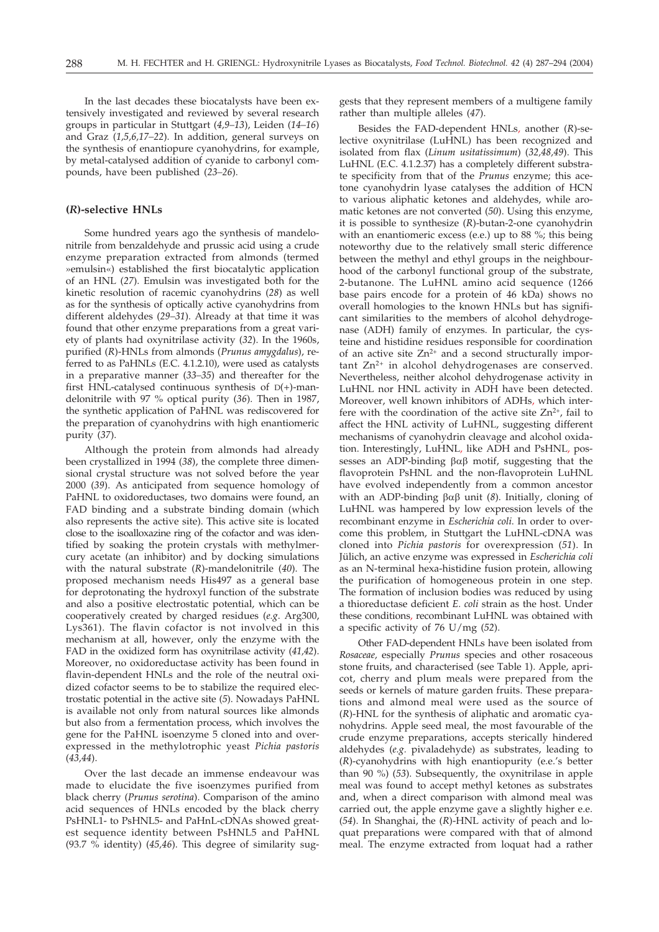In the last decades these biocatalysts have been extensively investigated and reviewed by several research groups in particular in Stuttgart (*4,9–13*), Leiden (*14–16*) and Graz (*1,5,6,17–22*). In addition, general surveys on the synthesis of enantiopure cyanohydrins, for example, by metal-catalysed addition of cyanide to carbonyl compounds, have been published (*23–26*).

## **(***R***)-selective HNLs**

Some hundred years ago the synthesis of mandelonitrile from benzaldehyde and prussic acid using a crude enzyme preparation extracted from almonds (termed »emulsin«) established the first biocatalytic application of an HNL (*27*). Emulsin was investigated both for the kinetic resolution of racemic cyanohydrins (*28*) as well as for the synthesis of optically active cyanohydrins from different aldehydes (*29–31*). Already at that time it was found that other enzyme preparations from a great variety of plants had oxynitrilase activity (*32*). In the 1960s, purified (*R*)-HNLs from almonds (*Prunus amygdalus*), referred to as PaHNLs (E.C. 4.1.2.10), were used as catalysts in a preparative manner (*33–35*) and thereafter for the first HNL-catalysed continuous synthesis of  $D(+)$ -mandelonitrile with 97 % optical purity (*36*). Then in 1987, the synthetic application of PaHNL was rediscovered for the preparation of cyanohydrins with high enantiomeric purity (*37*).

Although the protein from almonds had already been crystallized in 1994 (*38*), the complete three dimensional crystal structure was not solved before the year 2000 (*39*). As anticipated from sequence homology of PaHNL to oxidoreductases, two domains were found, an FAD binding and a substrate binding domain (which also represents the active site). This active site is located close to the isoalloxazine ring of the cofactor and was identified by soaking the protein crystals with methylmercury acetate (an inhibitor) and by docking simulations with the natural substrate (*R*)-mandelonitrile (*40*). The proposed mechanism needs His497 as a general base for deprotonating the hydroxyl function of the substrate and also a positive electrostatic potential, which can be cooperatively created by charged residues (*e.g*. Arg300, Lys361). The flavin cofactor is not involved in this mechanism at all, however, only the enzyme with the FAD in the oxidized form has oxynitrilase activity (*41,42*). Moreover, no oxidoreductase activity has been found in flavin-dependent HNLs and the role of the neutral oxidized cofactor seems to be to stabilize the required electrostatic potential in the active site (*5*). Nowadays PaHNL is available not only from natural sources like almonds but also from a fermentation process, which involves the gene for the PaHNL isoenzyme 5 cloned into and overexpressed in the methylotrophic yeast *Pichia pastoris* (*43,44*).

Over the last decade an immense endeavour was made to elucidate the five isoenzymes purified from black cherry (*Prunus serotina*). Comparison of the amino acid sequences of HNLs encoded by the black cherry PsHNL1- to PsHNL5- and PaHnL-cDNAs showed greatest sequence identity between PsHNL5 and PaHNL (93.7 % identity) (*45,46*). This degree of similarity suggests that they represent members of a multigene family rather than multiple alleles (*47*).

Besides the FAD-dependent HNLs, another (*R*)-selective oxynitrilase (LuHNL) has been recognized and isolated from flax (*Linum usitatissimum*) (*32,48,49*). This LuHNL (E.C. 4.1.2.37) has a completely different substrate specificity from that of the *Prunus* enzyme; this acetone cyanohydrin lyase catalyses the addition of HCN to various aliphatic ketones and aldehydes, while aromatic ketones are not converted (*50*). Using this enzyme, it is possible to synthesize (*R*)-butan-2-one cyanohydrin with an enantiomeric excess (e.e.) up to 88 %; this being noteworthy due to the relatively small steric difference between the methyl and ethyl groups in the neighbourhood of the carbonyl functional group of the substrate, 2-butanone. The LuHNL amino acid sequence (1266 base pairs encode for a protein of 46 kDa) shows no overall homologies to the known HNLs but has significant similarities to the members of alcohol dehydrogenase (ADH) family of enzymes. In particular, the cysteine and histidine residues responsible for coordination of an active site  $Zn^{2+}$  and a second structurally impor $tant Zn<sup>2+</sup>$  in alcohol dehydrogenases are conserved. Nevertheless, neither alcohol dehydrogenase activity in LuHNL nor HNL activity in ADH have been detected. Moreover, well known inhibitors of ADHs, which interfere with the coordination of the active site  $Zn^{2+}$ , fail to affect the HNL activity of LuHNL, suggesting different mechanisms of cyanohydrin cleavage and alcohol oxidation. Interestingly, LuHNL, like ADH and PsHNL, possesses an ADP-binding  $\beta\alpha\beta$  motif, suggesting that the flavoprotein PsHNL and the non-flavoprotein LuHNL have evolved independently from a common ancestor with an ADP-binding  $\beta \alpha \beta$  unit (8). Initially, cloning of LuHNL was hampered by low expression levels of the recombinant enzyme in *Escherichia coli*. In order to overcome this problem, in Stuttgart the LuHNL-cDNA was cloned into *Pichia pastoris* for overexpression (*51*). In Jülich, an active enzyme was expressed in *Escherichia coli* as an N-terminal hexa-histidine fusion protein, allowing the purification of homogeneous protein in one step. The formation of inclusion bodies was reduced by using a thioreductase deficient *E. coli* strain as the host. Under these conditions, recombinant LuHNL was obtained with a specific activity of 76 U/mg (*52*).

Other FAD-dependent HNLs have been isolated from *Rosaceae,* especially *Prunus* species and other rosaceous stone fruits, and characterised (see Table 1). Apple, apricot, cherry and plum meals were prepared from the seeds or kernels of mature garden fruits. These preparations and almond meal were used as the source of (*R*)-HNL for the synthesis of aliphatic and aromatic cyanohydrins. Apple seed meal, the most favourable of the crude enzyme preparations, accepts sterically hindered aldehydes (*e.g.* pivaladehyde) as substrates, leading to (*R*)-cyanohydrins with high enantiopurity (e.e.'s better than 90 %) (*53*). Subsequently, the oxynitrilase in apple meal was found to accept methyl ketones as substrates and, when a direct comparison with almond meal was carried out, the apple enzyme gave a slightly higher e.e. (*54*). In Shanghai, the (*R*)-HNL activity of peach and loquat preparations were compared with that of almond meal. The enzyme extracted from loquat had a rather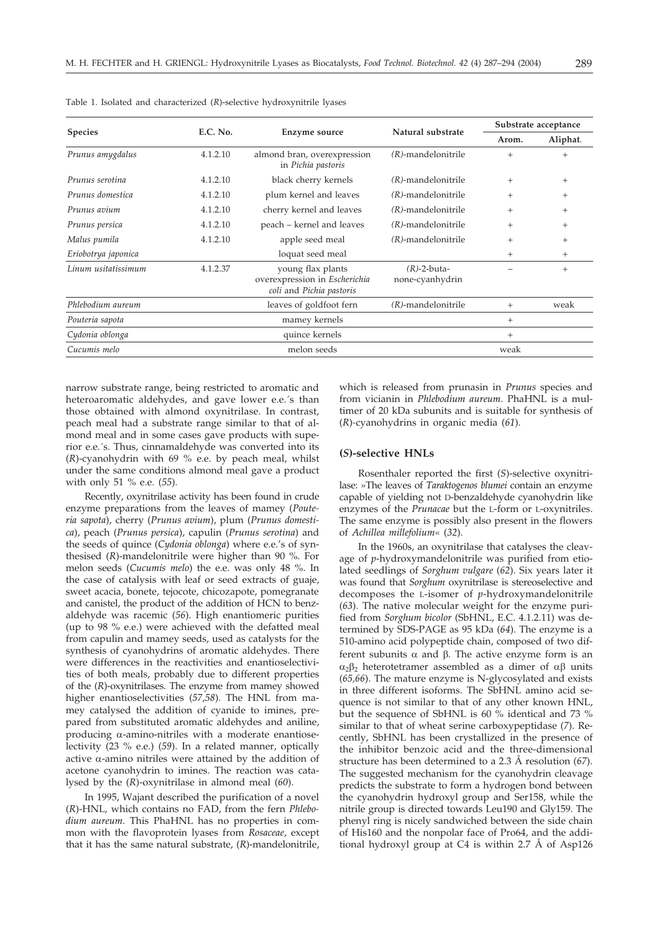| <b>Species</b>      | E.C. No. | Enzyme source                                                                  | Natural substrate                 | Substrate acceptance |          |
|---------------------|----------|--------------------------------------------------------------------------------|-----------------------------------|----------------------|----------|
|                     |          |                                                                                |                                   | Arom.                | Aliphat. |
| Prunus amygdalus    | 4.1.2.10 | almond bran, overexpression<br>in Pichia pastoris                              | $(R)$ -mandelonitrile             | $^{+}$               | $+$      |
| Prunus serotina     | 4.1.2.10 | black cherry kernels                                                           | $(R)$ -mandelonitrile             | $+$                  | $^{+}$   |
| Prunus domestica    | 4.1.2.10 | plum kernel and leaves                                                         | $(R)$ -mandelonitrile             | $^{+}$               | $^{+}$   |
| Prunus avium        | 4.1.2.10 | cherry kernel and leaves                                                       | $(R)$ -mandelonitrile             | $^{+}$               | $^{+}$   |
| Prunus persica      | 4.1.2.10 | peach – kernel and leaves                                                      | $(R)$ -mandelonitrile             | $^{+}$               | $^{+}$   |
| Malus pumila        | 4.1.2.10 | apple seed meal                                                                | $(R)$ -mandelonitrile             | $^{+}$               | $+$      |
| Eriobotrya japonica |          | loquat seed meal                                                               |                                   | $^{+}$               | $^{+}$   |
| Linum usitatissimum | 4.1.2.37 | young flax plants<br>overexpression in Escherichia<br>coli and Pichia pastoris | $(R)$ -2-buta-<br>none-cyanhydrin |                      | $^{+}$   |
| Phlebodium aureum   |          | leaves of goldfoot fern                                                        | $(R)$ -mandelonitrile             | $^{+}$               | weak     |
| Pouteria sapota     |          | mamey kernels                                                                  |                                   | $^{+}$               |          |
| Cydonia oblonga     |          | quince kernels                                                                 |                                   | $^{+}$               |          |
| Cucumis melo        |          | melon seeds                                                                    |                                   | weak                 |          |

Table 1. Isolated and characterized (*R*)-selective hydroxynitrile lyases

narrow substrate range, being restricted to aromatic and heteroaromatic aldehydes, and gave lower e.e.´s than those obtained with almond oxynitrilase. In contrast, peach meal had a substrate range similar to that of almond meal and in some cases gave products with superior e.e.´s. Thus, cinnamaldehyde was converted into its (*R*)-cyanohydrin with 69 % e.e. by peach meal, whilst under the same conditions almond meal gave a product with only 51 % e.e. (*55*).

Recently, oxynitrilase activity has been found in crude enzyme preparations from the leaves of mamey (*Pouteria sapota*), cherry (*Prunus avium*), plum (*Prunus domestica*), peach (*Prunus persica*), capulin (*Prunus serotina*) and the seeds of quince (*Cydonia oblonga*) where e.e.'s of synthesised (*R*)-mandelonitrile were higher than 90 %. For melon seeds (*Cucumis melo*) the e.e. was only 48 %. In the case of catalysis with leaf or seed extracts of guaje, sweet acacia, bonete, tejocote, chicozapote, pomegranate and canistel, the product of the addition of HCN to benzaldehyde was racemic (*56*). High enantiomeric purities (up to 98 % e.e.) were achieved with the defatted meal from capulin and mamey seeds, used as catalysts for the synthesis of cyanohydrins of aromatic aldehydes. There were differences in the reactivities and enantioselectivities of both meals, probably due to different properties of the (*R*)-oxynitrilases. The enzyme from mamey showed higher enantioselectivities (*57,58*). The HNL from mamey catalysed the addition of cyanide to imines, prepared from substituted aromatic aldehydes and aniline, producing  $\alpha$ -amino-nitriles with a moderate enantioselectivity (23 % e.e.) (*59*). In a related manner, optically active  $\alpha$ -amino nitriles were attained by the addition of acetone cyanohydrin to imines. The reaction was catalysed by the (*R*)-oxynitrilase in almond meal (*60*).

In 1995, Wajant described the purification of a novel (*R*)-HNL*,* which contains no FAD, from the fern *Phlebodium aureum*. This PhaHNL has no properties in common with the flavoprotein lyases from *Rosaceae*, except that it has the same natural substrate, (*R*)-mandelonitrile,

which is released from prunasin in *Prunus* species and from vicianin in *Phlebodium aureum*. PhaHNL is a multimer of 20 kDa subunits and is suitable for synthesis of (*R*)*-*cyanohydrins in organic media (*61*).

## **(***S***)-selective HNLs**

Rosenthaler reported the first (*S*)-selective oxynitrilase: »The leaves of *Taraktogenos blumei* contain an enzyme capable of yielding not D-benzaldehyde cyanohydrin like enzymes of the *Prunacae* but the L-form or L-oxynitriles. The same enzyme is possibly also present in the flowers of *Achillea millefolium*« (*32*).

In the 1960s, an oxynitrilase that catalyses the cleavage of *p*-hydroxymandelonitrile was purified from etiolated seedlings of *Sorghum vulgare* (*62*). Six years later it was found that *Sorghum* oxynitrilase is stereoselective and decomposes the L-isomer of *p*-hydroxymandelonitrile (*63*). The native molecular weight for the enzyme purified from *Sorghum bicolor* (SbHNL, E.C. 4.1.2.11) was determined by SDS-PAGE as 95 kDa (*64*). The enzyme is a 510-amino acid polypeptide chain, composed of two different subunits  $\alpha$  and  $\beta$ . The active enzyme form is an  $\alpha_2\beta_2$  heterotetramer assembled as a dimer of  $\alpha\beta$  units (*65,66*). The mature enzyme is N-glycosylated and exists in three different isoforms. The SbHNL amino acid sequence is not similar to that of any other known HNL, but the sequence of SbHNL is 60 % identical and 73 % similar to that of wheat serine carboxypeptidase (*7*). Recently, SbHNL has been crystallized in the presence of the inhibitor benzoic acid and the three-dimensional structure has been determined to a 2.3 Å resolution (*67*). The suggested mechanism for the cyanohydrin cleavage predicts the substrate to form a hydrogen bond between the cyanohydrin hydroxyl group and Ser158, while the nitrile group is directed towards Leu190 and Gly159. The phenyl ring is nicely sandwiched between the side chain of His160 and the nonpolar face of Pro64, and the additional hydroxyl group at C4 is within 2.7 Å of Asp126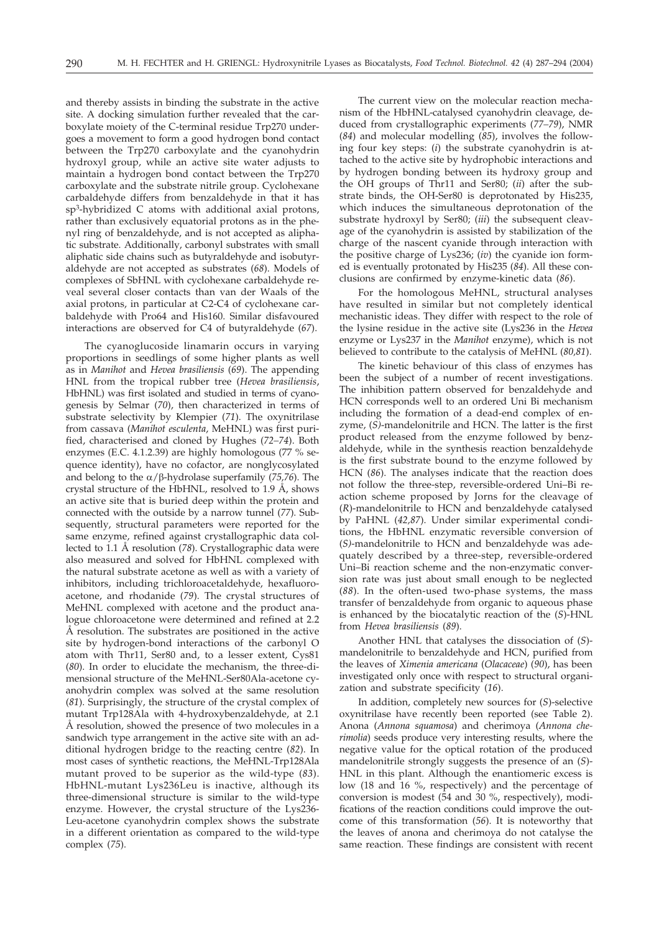and thereby assists in binding the substrate in the active site. A docking simulation further revealed that the carboxylate moiety of the C-terminal residue Trp270 undergoes a movement to form a good hydrogen bond contact between the Trp270 carboxylate and the cyanohydrin hydroxyl group, while an active site water adjusts to maintain a hydrogen bond contact between the Trp270 carboxylate and the substrate nitrile group. Cyclohexane carbaldehyde differs from benzaldehyde in that it has sp3-hybridized C atoms with additional axial protons, rather than exclusively equatorial protons as in the phenyl ring of benzaldehyde, and is not accepted as aliphatic substrate. Additionally, carbonyl substrates with small aliphatic side chains such as butyraldehyde and isobutyraldehyde are not accepted as substrates (*68*). Models of complexes of SbHNL with cyclohexane carbaldehyde reveal several closer contacts than van der Waals of the axial protons, in particular at C2-C4 of cyclohexane carbaldehyde with Pro64 and His160. Similar disfavoured interactions are observed for C4 of butyraldehyde (*67*).

The cyanoglucoside linamarin occurs in varying proportions in seedlings of some higher plants as well as in *Manihot* and *Hevea brasiliensis* (*69*). The appending HNL from the tropical rubber tree (*Hevea brasiliensis*, HbHNL) was first isolated and studied in terms of cyanogenesis by Selmar (*70*), then characterized in terms of substrate selectivity by Klempier (*71*). The oxynitrilase from cassava (*Manihot esculenta*, MeHNL) was first purified, characterised and cloned by Hughes (*72–74*). Both enzymes (E.C. 4.1.2.39) are highly homologous (77 % sequence identity), have no cofactor, are nonglycosylated and belong to the  $\alpha$ / $\beta$ -hydrolase superfamily (75,76). The crystal structure of the HbHNL, resolved to 1.9 Å, shows an active site that is buried deep within the protein and connected with the outside by a narrow tunnel (*77*). Subsequently, structural parameters were reported for the same enzyme, refined against crystallographic data collected to 1.1 Å resolution (*78*). Crystallographic data were also measured and solved for HbHNL complexed with the natural substrate acetone as well as with a variety of inhibitors, including trichloroacetaldehyde, hexafluoroacetone, and rhodanide (*79*). The crystal structures of MeHNL complexed with acetone and the product analogue chloroacetone were determined and refined at 2.2 Å resolution. The substrates are positioned in the active site by hydrogen-bond interactions of the carbonyl O atom with Thr11, Ser80 and, to a lesser extent, Cys81 (*80*). In order to elucidate the mechanism, the three-dimensional structure of the MeHNL-Ser80Ala-acetone cyanohydrin complex was solved at the same resolution (*81*). Surprisingly, the structure of the crystal complex of mutant Trp128Ala with 4-hydroxybenzaldehyde, at 2.1 Å resolution, showed the presence of two molecules in a sandwich type arrangement in the active site with an additional hydrogen bridge to the reacting centre (*82*). In most cases of synthetic reactions, the MeHNL-Trp128Ala mutant proved to be superior as the wild-type (*83*). HbHNL-mutant Lys236Leu is inactive, although its three-dimensional structure is similar to the wild-type enzyme. However, the crystal structure of the Lys236- Leu-acetone cyanohydrin complex shows the substrate in a different orientation as compared to the wild-type complex (*75*).

The current view on the molecular reaction mechanism of the HbHNL-catalysed cyanohydrin cleavage, deduced from crystallographic experiments (*77–79*), NMR (*84*) and molecular modelling (*85*), involves the following four key steps: (*i*) the substrate cyanohydrin is attached to the active site by hydrophobic interactions and by hydrogen bonding between its hydroxy group and the OH groups of Thr11 and Ser80; (*ii*) after the substrate binds, the OH-Ser80 is deprotonated by His235, which induces the simultaneous deprotonation of the substrate hydroxyl by Ser80; (*iii*) the subsequent cleavage of the cyanohydrin is assisted by stabilization of the charge of the nascent cyanide through interaction with the positive charge of Lys236; (*iv*) the cyanide ion formed is eventually protonated by His235 (*84*). All these conclusions are confirmed by enzyme-kinetic data (*86*).

For the homologous MeHNL, structural analyses have resulted in similar but not completely identical mechanistic ideas. They differ with respect to the role of the lysine residue in the active site (Lys236 in the *Hevea* enzyme or Lys237 in the *Manihot* enzyme), which is not believed to contribute to the catalysis of MeHNL (*80,81*).

The kinetic behaviour of this class of enzymes has been the subject of a number of recent investigations. The inhibition pattern observed for benzaldehyde and HCN corresponds well to an ordered Uni Bi mechanism including the formation of a dead-end complex of enzyme, (*S)*-mandelonitrile and HCN. The latter is the first product released from the enzyme followed by benzaldehyde, while in the synthesis reaction benzaldehyde is the first substrate bound to the enzyme followed by HCN (*86*). The analyses indicate that the reaction does not follow the three-step, reversible-ordered Uni–Bi reaction scheme proposed by Jorns for the cleavage of (*R*)-mandelonitrile to HCN and benzaldehyde catalysed by PaHNL (*42,87*). Under similar experimental conditions, the HbHNL enzymatic reversible conversion of (*S)*-mandelonitrile to HCN and benzaldehyde was adequately described by a three-step, reversible-ordered Uni–Bi reaction scheme and the non-enzymatic conversion rate was just about small enough to be neglected (*88*). In the often-used two-phase systems, the mass transfer of benzaldehyde from organic to aqueous phase is enhanced by the biocatalytic reaction of the (*S*)-HNL from *Hevea brasiliensis* (*89*).

Another HNL that catalyses the dissociation of (*S*) mandelonitrile to benzaldehyde and HCN, purified from the leaves of *Ximenia americana* (*Olacaceae*) (*90*), has been investigated only once with respect to structural organization and substrate specificity (*16*).

In addition, completely new sources for (*S*)-selective oxynitrilase have recently been reported (see Table 2). Anona (*Annona squamosa*) and cherimoya (*Annona cherimolia*) seeds produce very interesting results, where the negative value for the optical rotation of the produced mandelonitrile strongly suggests the presence of an (*S*)- HNL in this plant. Although the enantiomeric excess is low (18 and 16 %, respectively) and the percentage of conversion is modest (54 and 30 %, respectively), modifications of the reaction conditions could improve the outcome of this transformation (*56*). It is noteworthy that the leaves of anona and cherimoya do not catalyse the same reaction. These findings are consistent with recent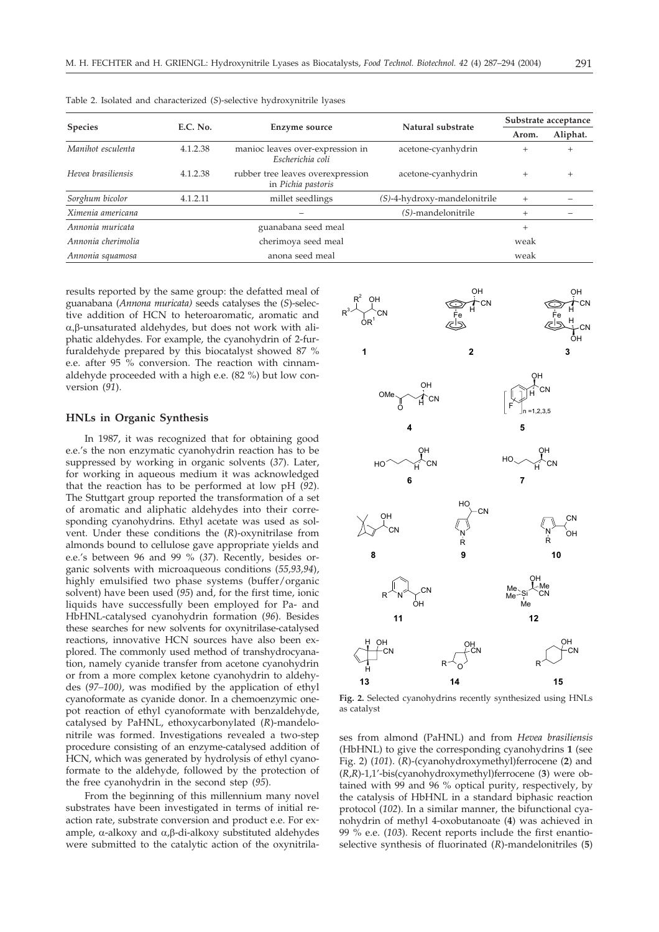| <b>Species</b>     |          | Enzyme source                                           | Natural substrate               | Substrate acceptance |          |
|--------------------|----------|---------------------------------------------------------|---------------------------------|----------------------|----------|
|                    | E.C. No. |                                                         |                                 | Arom.                | Aliphat. |
| Manihot esculenta  | 4.1.2.38 | manioc leaves over-expression in<br>Escherichia coli    | acetone-cyanhydrin              | $+$                  | $^{+}$   |
| Hevea brasiliensis | 4.1.2.38 | rubber tree leaves overexpression<br>in Pichia pastoris | acetone-cyanhydrin              | $^{+}$               | $^{+}$   |
| Sorghum bicolor    | 4.1.2.11 | millet seedlings                                        | $(S)$ -4-hydroxy-mandelonitrile | $^{+}$               |          |
| Ximenia americana  |          |                                                         | $(S)$ -mandelonitrile           | $^{+}$               |          |
| Annonia muricata   |          | guanabana seed meal                                     |                                 | $^{+}$               |          |
| Annonia cherimolia |          | cherimoya seed meal                                     |                                 | weak                 |          |
| Annonia squamosa   |          | anona seed meal                                         |                                 | weak                 |          |

Table 2. Isolated and characterized (*S*)-selective hydroxynitrile lyases

results reported by the same group: the defatted meal of guanabana (*Annona muricata)* seeds catalyses the (*S*)-selective addition of HCN to heteroaromatic, aromatic and α, β-unsaturated aldehydes, but does not work with aliphatic aldehydes. For example, the cyanohydrin of 2-furfuraldehyde prepared by this biocatalyst showed 87 % e.e. after 95 % conversion. The reaction with cinnamaldehyde proceeded with a high e.e. (82 %) but low conversion (*91*).

## **HNLs in Organic Synthesis**

In 1987, it was recognized that for obtaining good e.e.'s the non enzymatic cyanohydrin reaction has to be suppressed by working in organic solvents (*37*). Later, for working in aqueous medium it was acknowledged that the reaction has to be performed at low pH (*92*). The Stuttgart group reported the transformation of a set of aromatic and aliphatic aldehydes into their corresponding cyanohydrins. Ethyl acetate was used as solvent. Under these conditions the (*R*)-oxynitrilase from almonds bound to cellulose gave appropriate yields and e.e.'s between 96 and 99 % (*37*). Recently, besides organic solvents with microaqueous conditions (*55,93,94*), highly emulsified two phase systems (buffer/organic solvent) have been used (*95*) and, for the first time, ionic liquids have successfully been employed for Pa- and HbHNL-catalysed cyanohydrin formation (*96*). Besides these searches for new solvents for oxynitrilase-catalysed reactions, innovative HCN sources have also been explored. The commonly used method of transhydrocyanation, namely cyanide transfer from acetone cyanohydrin or from a more complex ketone cyanohydrin to aldehydes (*97–100)*, was modified by the application of ethyl cyanoformate as cyanide donor. In a chemoenzymic onepot reaction of ethyl cyanoformate with benzaldehyde, catalysed by PaHNL, ethoxycarbonylated (*R*)-mandelonitrile was formed. Investigations revealed a two-step procedure consisting of an enzyme-catalysed addition of HCN, which was generated by hydrolysis of ethyl cyanoformate to the aldehyde, followed by the protection of the free cyanohydrin in the second step (*95*).

From the beginning of this millennium many novel substrates have been investigated in terms of initial reaction rate, substrate conversion and product e.e. For example,  $\alpha$ -alkoxy and  $\alpha$ , $\beta$ -di-alkoxy substituted aldehydes were submitted to the catalytic action of the oxynitrila-



**Fig. 2.** Selected cyanohydrins recently synthesized using HNLs as catalyst

ses from almond (PaHNL) and from *Hevea brasiliensis* (HbHNL) to give the corresponding cyanohydrins **1** (see Fig. 2) (*101*). (*R*)-(cyanohydroxymethyl)ferrocene (**2**) and (*R*,*R*)-1,1'-bis(cyanohydroxymethyl)ferrocene (**3**) were obtained with 99 and 96 % optical purity, respectively, by the catalysis of HbHNL in a standard biphasic reaction protocol (*102*). In a similar manner, the bifunctional cyanohydrin of methyl 4-oxobutanoate (**4**) was achieved in 99 % e.e. (*103*). Recent reports include the first enantioselective synthesis of fluorinated (*R*)-mandelonitriles (**5**)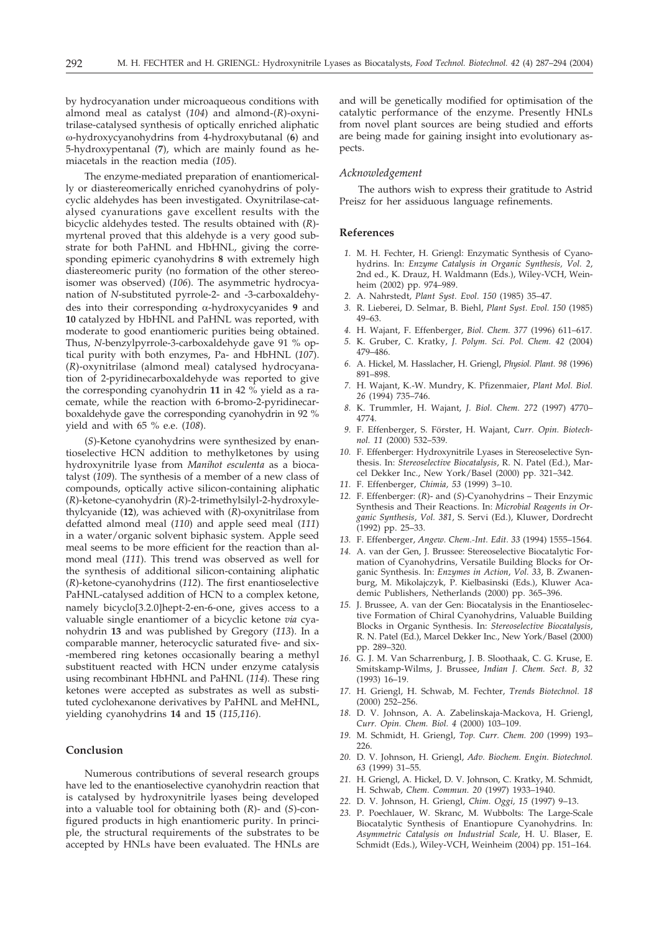by hydrocyanation under microaqueous conditions with almond meal as catalyst (*104*) and almond-(*R*)-oxynitrilase-catalysed synthesis of optically enriched aliphatic -hydroxycyanohydrins from 4-hydroxybutanal (**6**) and 5-hydroxypentanal (**7**), which are mainly found as hemiacetals in the reaction media (*105*).

The enzyme-mediated preparation of enantiomerically or diastereomerically enriched cyanohydrins of polycyclic aldehydes has been investigated. Oxynitrilase-catalysed cyanurations gave excellent results with the bicyclic aldehydes tested. The results obtained with (*R*) myrtenal proved that this aldehyde is a very good substrate for both PaHNL and HbHNL, giving the corresponding epimeric cyanohydrins **8** with extremely high diastereomeric purity (no formation of the other stereoisomer was observed) (*106*). The asymmetric hydrocyanation of *N*-substituted pyrrole-2- and -3-carboxaldehydes into their corresponding α-hydroxycyanides 9 and **10** catalyzed by HbHNL and PaHNL was reported, with moderate to good enantiomeric purities being obtained. Thus, *N*-benzylpyrrole-3-carboxaldehyde gave 91 % optical purity with both enzymes, Pa- and HbHNL (*107*). (*R*)-oxynitrilase (almond meal) catalysed hydrocyanation of 2-pyridinecarboxaldehyde was reported to give the corresponding cyanohydrin **11** in 42 % yield as a racemate, while the reaction with 6-bromo-2-pyridinecarboxaldehyde gave the corresponding cyanohydrin in 92 % yield and with 65 % e.e. (*108*).

(*S*)-Ketone cyanohydrins were synthesized by enantioselective HCN addition to methylketones by using hydroxynitrile lyase from *Manihot esculenta* as a biocatalyst (*109*). The synthesis of a member of a new class of compounds, optically active silicon-containing aliphatic (*R*)-ketone-cyanohydrin (*R*)-2-trimethylsilyl-2-hydroxylethylcyanide (**12**), was achieved with (*R*)-oxynitrilase from defatted almond meal (*110*) and apple seed meal (*111*) in a water/organic solvent biphasic system. Apple seed meal seems to be more efficient for the reaction than almond meal (*111*). This trend was observed as well for the synthesis of additional silicon-containing aliphatic (*R*)-ketone-cyanohydrins (*112*). The first enantioselective PaHNL-catalysed addition of HCN to a complex ketone, namely bicyclo[3.2.0]hept-2-en-6-one, gives access to a valuable single enantiomer of a bicyclic ketone *via* cyanohydrin **13** and was published by Gregory (*113*). In a comparable manner, heterocyclic saturated five- and six- -membered ring ketones occasionally bearing a methyl substituent reacted with HCN under enzyme catalysis using recombinant HbHNL and PaHNL (*114*). These ring ketones were accepted as substrates as well as substituted cyclohexanone derivatives by PaHNL and MeHNL, yielding cyanohydrins **14** and **15** (*115,116*).

## **Conclusion**

Numerous contributions of several research groups have led to the enantioselective cyanohydrin reaction that is catalysed by hydroxynitrile lyases being developed into a valuable tool for obtaining both (*R*)- and (*S*)-configured products in high enantiomeric purity. In principle, the structural requirements of the substrates to be accepted by HNLs have been evaluated. The HNLs are

and will be genetically modified for optimisation of the catalytic performance of the enzyme. Presently HNLs from novel plant sources are being studied and efforts are being made for gaining insight into evolutionary aspects.

## *Acknowledgement*

The authors wish to express their gratitude to Astrid Preisz for her assiduous language refinements.

## **References**

- *1.* M. H. Fechter, H. Griengl: Enzymatic Synthesis of Cyanohydrins. In: *Enzyme Catalysis in Organic Synthesis, Vol. 2*, 2nd ed., K. Drauz, H. Waldmann (Eds.), Wiley-VCH, Weinheim (2002) pp. 974–989.
- *2.* A. Nahrstedt, *Plant Syst. Evol. 150* (1985) 35–47.
- *3.* R. Lieberei, D. Selmar, B. Biehl, *Plant Syst. Evol. 150* (1985) 49–63.
- *4.* H. Wajant, F. Effenberger, *Biol. Chem. 377* (1996) 611–617.
- *5.* K. Gruber, C. Kratky, *J. Polym. Sci. Pol. Chem. 42* (2004) 479–486.
- *6.* A. Hickel, M. Hasslacher, H. Griengl, *Physiol. Plant. 98* (1996) 891–898.
- *7.* H. Wajant, K.-W. Mundry, K. Pfizenmaier, *Plant Mol. Biol. 26* (1994) 735–746.
- *8.* K. Trummler, H. Wajant, *J. Biol. Chem. 272* (1997) 4770– 4774.
- *9.* F. Effenberger, S. Förster, H. Wajant, *Curr. Opin. Biotechnol. 11* (2000) 532–539.
- *10.* F. Effenberger: Hydroxynitrile Lyases in Stereoselective Synthesis. In: *Stereoselective Biocatalysis*, R. N. Patel (Ed.), Marcel Dekker Inc., New York/Basel (2000) pp. 321–342.
- *11.* F. Effenberger, *Chimia, 53* (1999) 3–10.
- *12.* F. Effenberger: (*R*)- and (*S*)-Cyanohydrins Their Enzymic Synthesis and Their Reactions. In: *Microbial Reagents in Organic Synthesis*, *Vol. 381*, S. Servi (Ed.), Kluwer, Dordrecht (1992) pp. 25–33.
- *13.* F. Effenberger, *Angew. Chem.-Int. Edit. 33* (1994) 1555–1564.
- *14.* A. van der Gen, J. Brussee: Stereoselective Biocatalytic Formation of Cyanohydrins, Versatile Building Blocks for Organic Synthesis. In: *Enzymes in Action*, *Vol. 33*, B. Zwanenburg, M. Mikolajczyk, P. Kielbasinski (Eds.), Kluwer Academic Publishers, Netherlands (2000) pp. 365–396.
- *15.* J. Brussee, A. van der Gen: Biocatalysis in the Enantioselective Formation of Chiral Cyanohydrins, Valuable Building Blocks in Organic Synthesis. In: *Stereoselective Biocatalysis*, R. N. Patel (Ed.), Marcel Dekker Inc., New York/Basel (2000) pp. 289–320.
- *16.* G. J. M. Van Scharrenburg, J. B. Sloothaak, C. G. Kruse, E. Smitskamp-Wilms, J. Brussee, *Indian J. Chem. Sect. B, 32* (1993) 16–19.
- *17.* H. Griengl, H. Schwab, M. Fechter, *Trends Biotechnol. 18* (2000) 252–256.
- *18.* D. V. Johnson, A. A. Zabelinskaja-Mackova, H. Griengl, *Curr. Opin. Chem. Biol. 4* (2000) 103–109.
- *19.* M. Schmidt, H. Griengl, *Top. Curr. Chem. 200* (1999) 193– 226.
- *20.* D. V. Johnson, H. Griengl, *Adv. Biochem. Engin. Biotechnol. 63* (1999) 31–55.
- *21.* H. Griengl, A. Hickel, D. V. Johnson, C. Kratky, M. Schmidt, H. Schwab, *Chem. Commun. 20* (1997) 1933–1940.
- *22.* D. V. Johnson, H. Griengl, *Chim. Oggi, 15* (1997) 9–13.
- *23.* P. Poechlauer, W. Skranc, M. Wubbolts: The Large-Scale Biocatalytic Synthesis of Enantiopure Cyanohydrins. In: *Asymmetric Catalysis on Industrial Scale*, H. U. Blaser, E. Schmidt (Eds.), Wiley-VCH, Weinheim (2004) pp. 151–164.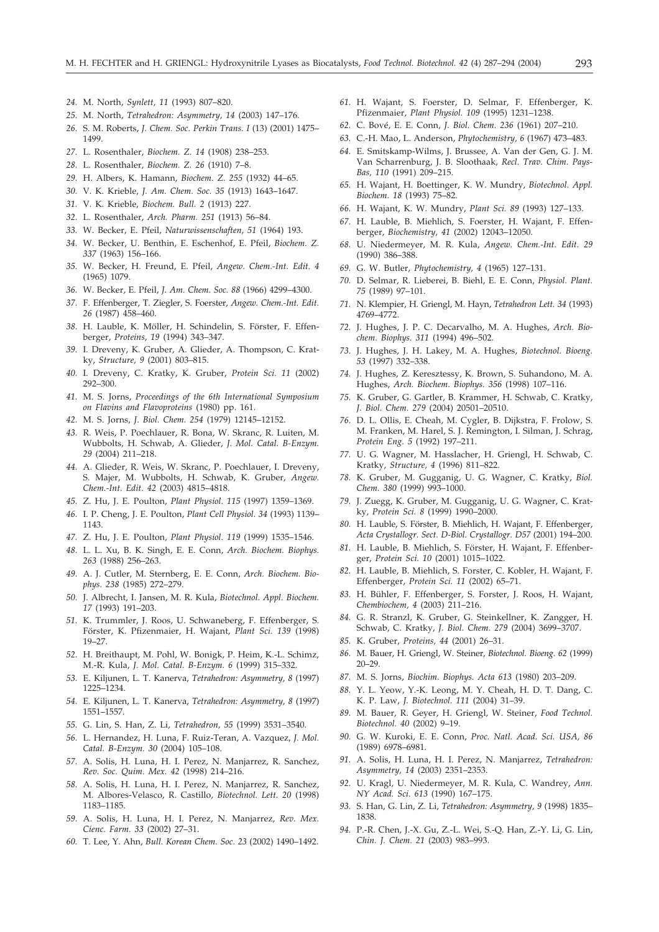- *24.* M. North, *Synlett, 11* (1993) 807–820.
- *25.* M. North, *Tetrahedron: Asymmetry, 14* (2003) 147–176.
- *26.* S. M. Roberts, *J. Chem. Soc. Perkin Trans. I* (13) (2001) 1475– 1499.
- *27.* L. Rosenthaler, *Biochem. Z. 14* (1908) 238–253.
- *28.* L. Rosenthaler, *Biochem. Z. 26* (1910) 7–8.
- *29.* H. Albers, K. Hamann, *Biochem. Z. 255* (1932) 44–65.
- *30.* V. K. Krieble, *J. Am. Chem. Soc. 35* (1913) 1643–1647.
- *31.* V. K. Krieble, *Biochem. Bull. 2* (1913) 227.
- *32.* L. Rosenthaler, *Arch. Pharm. 251* (1913) 56–84.
- *33.* W. Becker, E. Pfeil, *Naturwissenschaften, 51* (1964) 193.
- *34.* W. Becker, U. Benthin, E. Eschenhof, E. Pfeil, *Biochem. Z. 337* (1963) 156–166.
- *35.* W. Becker, H. Freund, E. Pfeil, *Angew. Chem.-Int. Edit. 4* (1965) 1079.
- *36.* W. Becker, E. Pfeil, *J. Am. Chem. Soc. 88* (1966) 4299–4300.
- *37.* F. Effenberger, T. Ziegler, S. Foerster, *Angew. Chem.-Int. Edit. 26* (1987) 458–460.
- *38.* H. Lauble, K. Möller, H. Schindelin, S. Förster, F. Effenberger, *Proteins, 19* (1994) 343–347.
- *39.* I. Dreveny, K. Gruber, A. Glieder, A. Thompson, C. Kratky, *Structure, 9* (2001) 803–815.
- *40.* I. Dreveny, C. Kratky, K. Gruber, *Protein Sci. 11* (2002) 292–300.
- *41.* M. S. Jorns, *Proceedings of the 6th International Symposium on Flavins and Flavoproteins* (1980) pp. 161.
- *42.* M. S. Jorns, *J. Biol. Chem. 254* (1979) 12145–12152.
- *43.* R. Weis, P. Poechlauer, R. Bona, W. Skranc, R. Luiten, M. Wubbolts, H. Schwab, A. Glieder, *J. Mol. Catal. B-Enzym. 29* (2004) 211–218.
- *44.* A. Glieder, R. Weis, W. Skranc, P. Poechlauer, I. Dreveny, S. Majer, M. Wubbolts, H. Schwab, K. Gruber, *Angew. Chem.-Int. Edit. 42* (2003) 4815–4818.
- *45.* Z. Hu, J. E. Poulton, *Plant Physiol. 115* (1997) 1359–1369.
- *46.* I. P. Cheng, J. E. Poulton, *Plant Cell Physiol. 34* (1993) 1139– 1143.
- *47.* Z. Hu, J. E. Poulton, *Plant Physiol. 119* (1999) 1535–1546.
- *48.* L. L. Xu, B. K. Singh, E. E. Conn, *Arch. Biochem. Biophys. 263* (1988) 256–263.
- *49.* A. J. Cutler, M. Sternberg, E. E. Conn, *Arch. Biochem. Biophys. 238* (1985) 272–279.
- *50.* J. Albrecht, I. Jansen, M. R. Kula, *Biotechnol. Appl. Biochem. 17* (1993) 191–203.
- *51.* K. Trummler, J. Roos, U. Schwaneberg, F. Effenberger, S. Förster, K. Pfizenmaier, H. Wajant, *Plant Sci. 139* (1998) 19–27.
- *52.* H. Breithaupt, M. Pohl, W. Bonigk, P. Heim, K.-L. Schimz, M.-R. Kula, *J. Mol. Catal. B-Enzym. 6* (1999) 315–332.
- *53.* E. Kiljunen, L. T. Kanerva, *Tetrahedron: Asymmetry, 8* (1997) 1225–1234.
- *54.* E. Kiljunen, L. T. Kanerva, *Tetrahedron: Asymmetry, 8* (1997) 1551–1557.
- *55.* G. Lin, S. Han, Z. Li, *Tetrahedron, 55* (1999) 3531–3540.
- *56.* L. Hernandez, H. Luna, F. Ruiz-Teran, A. Vazquez, *J. Mol. Catal. B-Enzym. 30* (2004) 105–108.
- *57.* A. Solis, H. Luna, H. I. Perez, N. Manjarrez, R. Sanchez, *Rev. Soc. Quim. Mex. 42* (1998) 214–216.
- *58.* A. Solis, H. Luna, H. I. Perez, N. Manjarrez, R. Sanchez, M. Albores-Velasco, R. Castillo, *Biotechnol. Lett. 20* (1998) 1183–1185.
- *59.* A. Solis, H. Luna, H. I. Perez, N. Manjarrez, *Rev. Mex. Cienc. Farm. 33* (2002) 27–31.
- *60.* T. Lee, Y. Ahn, *Bull. Korean Chem. Soc. 23* (2002) 1490–1492.
- *61.* H. Wajant, S. Foerster, D. Selmar, F. Effenberger, K. Pfizenmaier, *Plant Physiol. 109* (1995) 1231–1238.
- *62.* C. Bové, E. E. Conn, *J. Biol. Chem. 236* (1961) 207–210.
- *63.* C.-H. Mao, L. Anderson, *Phytochemistry, 6* (1967) 473–483.
- *64.* E. Smitskamp-Wilms, J. Brussee, A. Van der Gen, G. J. M. Van Scharrenburg, J. B. Sloothaak, *Recl. Trav. Chim. Pays-Bas, 110* (1991) 209–215.
- *65.* H. Wajant, H. Boettinger, K. W. Mundry, *Biotechnol. Appl. Biochem. 18* (1993) 75–82.
- *66.* H. Wajant, K. W. Mundry, *Plant Sci. 89* (1993) 127–133.
- *67.* H. Lauble, B. Miehlich, S. Foerster, H. Wajant, F. Effenberger, *Biochemistry, 41* (2002) 12043–12050.
- *68.* U. Niedermeyer, M. R. Kula, *Angew. Chem.-Int. Edit. 29* (1990) 386–388.
- *69.* G. W. Butler, *Phytochemistry, 4* (1965) 127–131.
- *70.* D. Selmar, R. Lieberei, B. Biehl, E. E. Conn, *Physiol. Plant. 75* (1989) 97–101.
- *71.* N. Klempier, H. Griengl, M. Hayn, *Tetrahedron Lett. 34* (1993) 4769–4772.
- *72.* J. Hughes, J. P. C. Decarvalho, M. A. Hughes, *Arch. Biochem. Biophys. 311* (1994) 496–502.
- *73.* J. Hughes, J. H. Lakey, M. A. Hughes, *Biotechnol. Bioeng. 53* (1997) 332–338.
- *74.* J. Hughes, Z. Keresztessy, K. Brown, S. Suhandono, M. A. Hughes, *Arch. Biochem. Biophys. 356* (1998) 107–116.
- *75.* K. Gruber, G. Gartler, B. Krammer, H. Schwab, C. Kratky, *J. Biol. Chem. 279* (2004) 20501–20510.
- *76.* D. L. Ollis, E. Cheah, M. Cygler, B. Dijkstra, F. Frolow, S. M. Franken, M. Harel, S. J. Remington, I. Silman, J. Schrag, *Protein Eng. 5* (1992) 197–211.
- *77.* U. G. Wagner, M. Hasslacher, H. Griengl, H. Schwab, C. Kratky, *Structure, 4* (1996) 811–822.
- *78.* K. Gruber, M. Gugganig, U. G. Wagner, C. Kratky, *Biol. Chem. 380* (1999) 993–1000.
- *79.* J. Zuegg, K. Gruber, M. Gugganig, U. G. Wagner, C. Kratky, *Protein Sci. 8* (1999) 1990–2000.
- *80.* H. Lauble, S. Förster, B. Miehlich, H. Wajant, F. Effenberger, *Acta Crystallogr. Sect. D-Biol. Crystallogr. D57* (2001) 194–200.
- *81.* H. Lauble, B. Miehlich, S. Förster, H. Wajant, F. Effenberger, *Protein Sci. 10* (2001) 1015–1022.
- *82.* H. Lauble, B. Miehlich, S. Forster, C. Kobler, H. Wajant, F. Effenberger, *Protein Sci. 11* (2002) 65–71.
- *83.* H. Bühler, F. Effenberger, S. Forster, J. Roos, H. Wajant, *Chembiochem, 4* (2003) 211–216.
- *84.* G. R. Stranzl, K. Gruber, G. Steinkellner, K. Zangger, H. Schwab, C. Kratky, *J. Biol. Chem. 279* (2004) 3699–3707.
- *85.* K. Gruber, *Proteins, 44* (2001) 26–31.
- *86.* M. Bauer, H. Griengl, W. Steiner, *Biotechnol. Bioeng. 62* (1999) 20–29.
- *87.* M. S. Jorns, *Biochim. Biophys. Acta 613* (1980) 203–209.
- *88.* Y. L. Yeow, Y.-K. Leong, M. Y. Cheah, H. D. T. Dang, C. K. P. Law, *J. Biotechnol. 111* (2004) 31–39.
- *89.* M. Bauer, R. Geyer, H. Griengl, W. Steiner, *Food Technol. Biotechnol. 40* (2002) 9–19.
- *90.* G. W. Kuroki, E. E. Conn, *Proc. Natl. Acad. Sci. USA, 86* (1989) 6978–6981.
- *91.* A. Solis, H. Luna, H. I. Perez, N. Manjarrez, *Tetrahedron: Asymmetry, 14* (2003) 2351–2353.
- *92.* U. Kragl, U. Niedermeyer, M. R. Kula, C. Wandrey, *Ann. NY Acad. Sci. 613* (1990) 167–175.
- *93.* S. Han, G. Lin, Z. Li, *Tetrahedron: Asymmetry, 9* (1998) 1835– 1838.
- *94.* P.-R. Chen, J.-X. Gu, Z.-L. Wei, S.-Q. Han, Z.-Y. Li, G. Lin, *Chin. J. Chem. 21* (2003) 983–993.